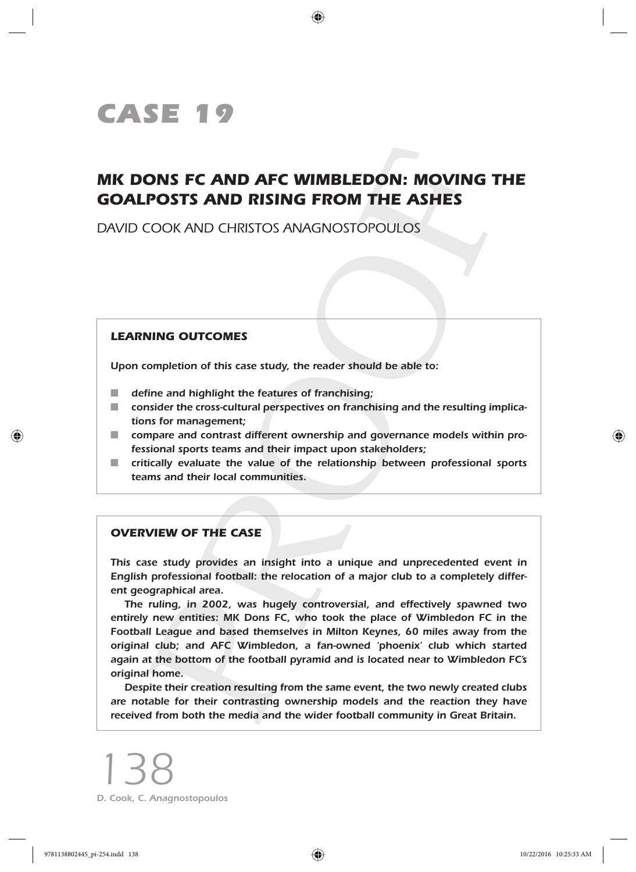# *CASE 19*

# *MK DONS FC AND AFC WIMBLEDON : MOVING THE GOALPOSTS AND RISING FROM THE ASHES*

◈

DAVID COOKAND CHRISTOS ANAGNOSTOPOULOS

### *LEARNING OUTCOMES*

*Upon completion of this case study, the reader should be able to:* 

- *define and highlight the features of franchising;*
- consider the cross-cultural perspectives on franchising and the resulting implica*tions for management;*
- compare and contrast different ownership and governance models within pro*fessional sports teams and their impact upon stakeholders;*
- *critically evaluate the value of the relationship between professional sports teams and their local communities.*

# *OVERVIEW OF THE CASE*

*This case study provides an insight into a unique and unprecedented event in English professional football: the relocation of a major club to a completely different geographical area.* 

*The ruling, in 2002, was hugely controversial, and effectively spawned two entirely new entities: MK Dons FC, who took the place of Wimbledon FC in the Football League and based themselves in Milton Keynes, 60 miles away from the original club; and AFC Wimbledon, a fan- owned 'phoenix' club which started again at the bottom of the football pyramid and is located near to Wimbledon FC's original home.* 

*Despite their creation resulting from the same event, the two newly created clubs are notable for their contrasting ownership models and the reaction they have received from both the media and the wider football community in Great Britain.* 

138 *D. Cook, C. Anagnostopoulos* ♠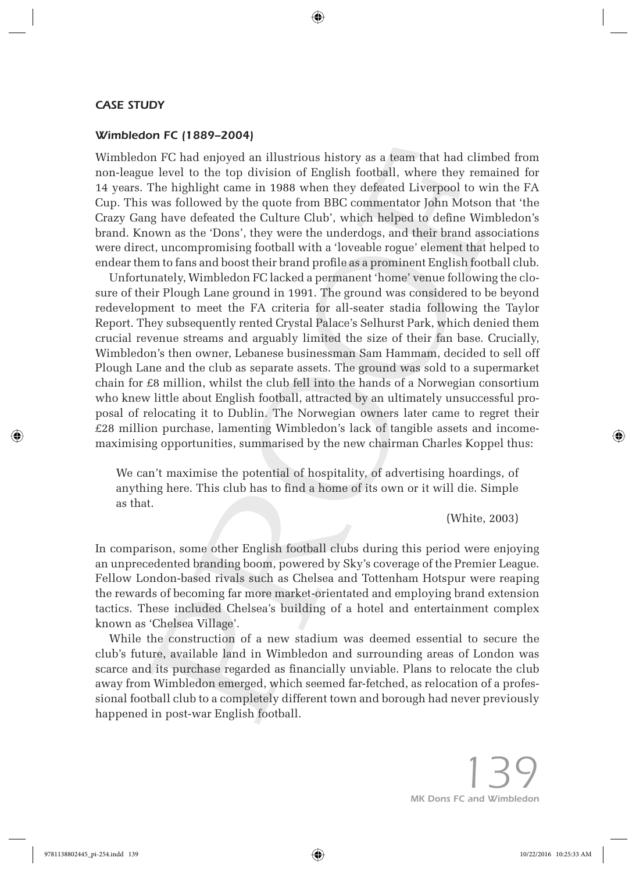#### *CASE STUDY*

#### *Wimbledon FC (1889– 2004)*

Wimbledon FC had enjoyed an illustrious history as a team that had climbed from non- league level to the top division of English football, where they remained for 14 years. The highlight came in 1988 when they defeated Liverpool to win the FA Cup. This was followed by the quote from BBC commentator John Motson that 'the Crazy Gang have defeated the Culture Club', which helped to define Wimbledon's brand. Known as the 'Dons', they were the underdogs, and their brand associations were direct, uncompromising football with a 'loveable rogue' element that helped to endear them to fans and boost their brand profile as a prominent English football club.

Unfortunately, Wimbledon FC lacked a permanent 'home' venue following the closure of their Plough Lane ground in 1991. The ground was considered to be beyond redevelopment to meet the FA criteria for all-seater stadia following the Taylor Report. They subsequently rented Crystal Palace's Selhurst Park, which denied them crucial revenue streams and arguably limited the size of their fan base. Crucially, Wimbledon's then owner, Lebanese businessman Sam Hammam, decided to sell off Plough Lane and the club as separate assets. The ground was sold to a supermarket chain for £8 million, whilst the club fell into the hands of a Norwegian consortium who knew little about English football, attracted by an ultimately unsuccessful proposal of relocating it to Dublin. The Norwegian owners later came to regret their £28 million purchase, lamenting Wimbledon's lack of tangible assets and incomemaximising opportunities, summarised by the new chairman Charles Koppel thus:

We can't maximise the potential of hospitality, of advertising hoardings, of anything here. This club has to find a home of its own or it will die. Simple as that.

(White, 2003 )

In comparison, some other English football clubs during this period were enjoying an unprecedented branding boom, powered by Sky's coverage of the Premier League. Fellow London- based rivals such as Chelsea and Tottenham Hotspur were reaping the rewards of becoming far more market- orientated and employing brand extension tactics. These included Chelsea's building of a hotel and entertainment complex known as 'Chelsea Village'.

While the construction of a new stadium was deemed essential to secure the club's future, available land in Wimbledon and surrounding areas of London was scarce and its purchase regarded as financially unviable. Plans to relocate the club away from Wimbledon emerged, which seemed far- fetched, as relocation of a professional football club to a completely different town and borough had never previously happened in post-war English football.

139 *MK Dons FC and Wimbledon*

◈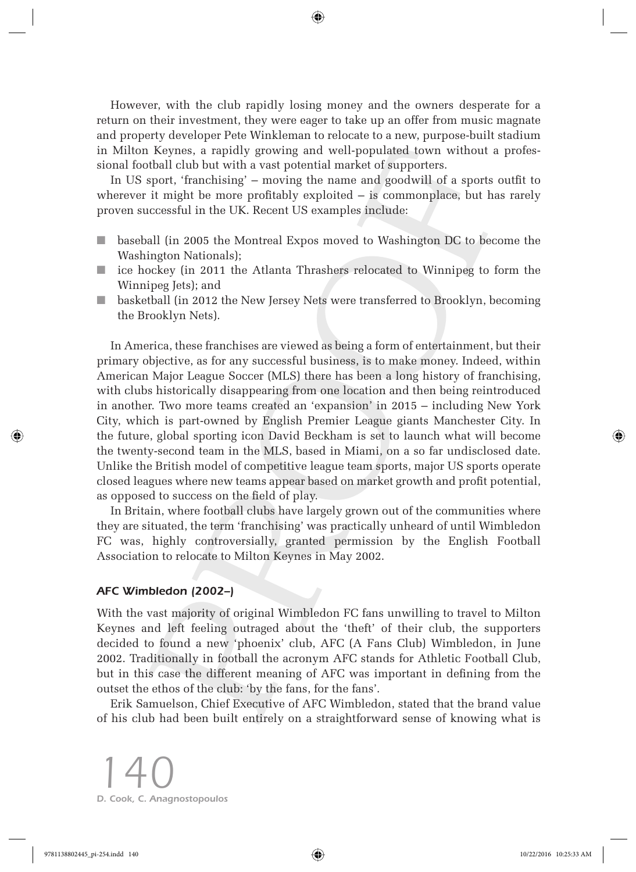However, with the club rapidly losing money and the owners desperate for a return on their investment, they were eager to take up an offer from music magnate and property developer Pete Winkleman to relocate to a new, purpose-built stadium in Milton Keynes, a rapidly growing and well- populated town without a professional football club but with a vast potential market of supporters.

In US sport, 'franchising'  $-$  moving the name and goodwill of a sports outfit to wherever it might be more profitably exploited  $-$  is commonplace, but has rarely proven successful in the UK. Recent US examples include:

- baseball (in 2005 the Montreal Expos moved to Washington DC to become the Washington Nationals);
- ice hockey (in 2011 the Atlanta Thrashers relocated to Winnipeg to form the Winnipeg Jets); and
- basketball (in 2012 the New Jersey Nets were transferred to Brooklyn, becoming the Brooklyn Nets).

In America, these franchises are viewed as being a form of entertainment, but their primary objective, as for any successful business, is to make money. Indeed, within American Major League Soccer (MLS) there has been a long history of franchising, with clubs historically disappearing from one location and then being reintroduced in another. Two more teams created an 'expansion' in 2015 – including New York City, which is part- owned by English Premier League giants Manchester City. In the future, global sporting icon David Beckham is set to launch what will become the twenty- second team in the MLS, based in Miami, on a so far undisclosed date. Unlike the British model of competitive league team sports, major US sports operate closed leagues where new teams appear based on market growth and profi t potential, as opposed to success on the field of play.

In Britain, where football clubs have largely grown out of the communities where they are situated, the term 'franchising' was practically unheard of until Wimbledon FC was, highly controversially, granted permission by the English Football Association to relocate to Milton Keynes in May 2002.

### *AFC Wimbledon (2002– )*

With the vast majority of original Wimbledon FC fans unwilling to travel to Milton Keynes and left feeling outraged about the 'theft' of their club, the supporters decided to found a new 'phoenix' club, AFC (A Fans Club) Wimbledon, in June 2002. Traditionally in football the acronym AFC stands for Athletic Football Club, but in this case the different meaning of AFC was important in defining from the outset the ethos of the club: 'by the fans, for the fans'.

Erik Samuelson, Chief Executive of AFC Wimbledon, stated that the brand value of his club had been built entirely on a straightforward sense of knowing what is

140 *D. Cook, C. Anagnostopoulos*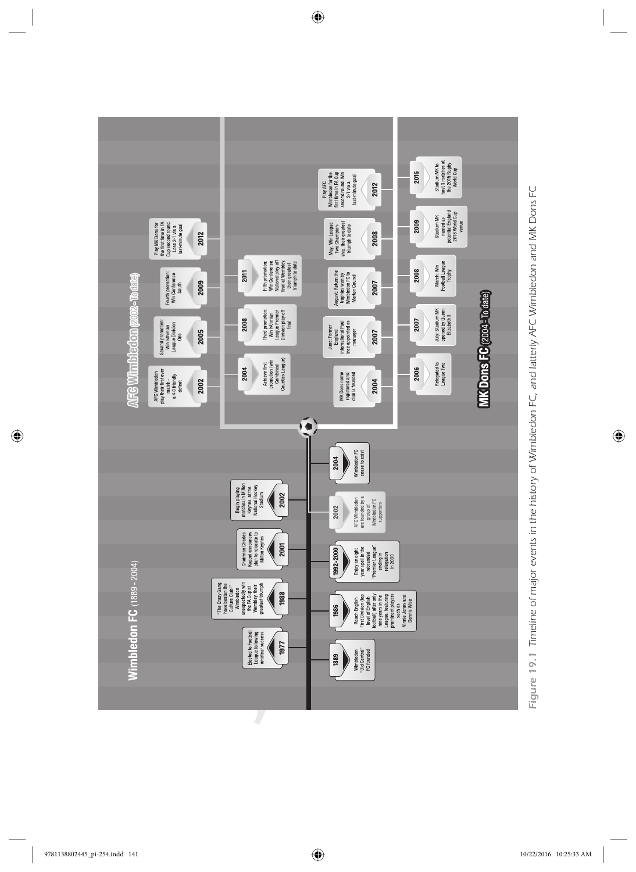

 $\bigoplus$ 



 $\bigoplus$ 

 $\bigcirc$ 

 $\bigcirc$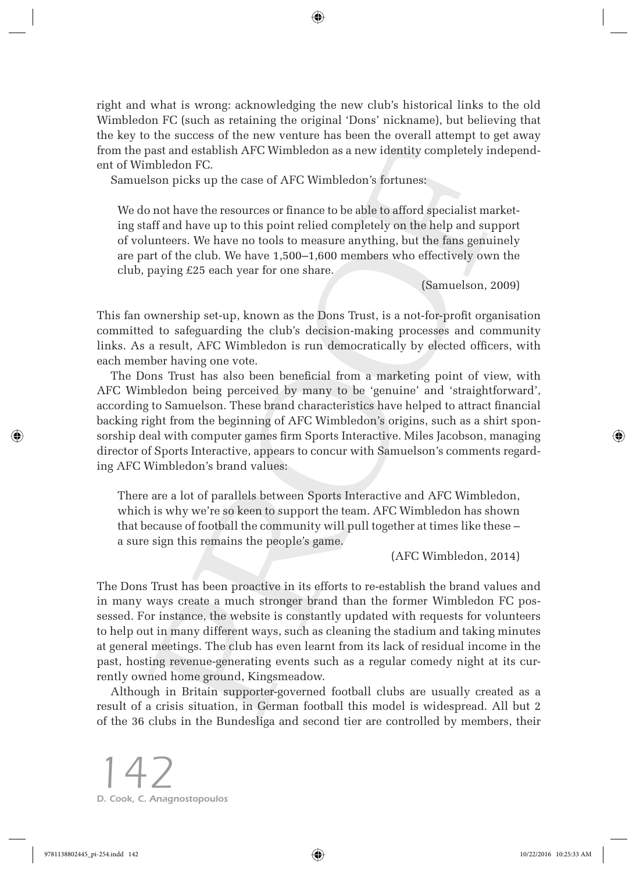right and what is wrong: acknowledging the new club's historical links to the old Wimbledon FC (such as retaining the original 'Dons' nickname), but believing that the key to the success of the new venture has been the overall attempt to get away from the past and establish AFC Wimbledon as a new identity completely independent of Wimbledon FC.

Samuelson picks up the case of AFC Wimbledon's fortunes:

We do not have the resources or finance to be able to afford specialist marketing staff and have up to this point relied completely on the help and support of volunteers. We have no tools to measure anything, but the fans genuinely are part of the club. We have 1,500– 1,600 members who effectively own the club, paying £25 each year for one share.

(Samuelson, 2009)

This fan ownership set-up, known as the Dons Trust, is a not-for-profit organisation committed to safeguarding the club's decision- making processes and community links. As a result, AFC Wimbledon is run democratically by elected officers, with each member having one vote.

The Dons Trust has also been beneficial from a marketing point of view, with AFC Wimbledon being perceived by many to be 'genuine' and 'straightforward', according to Samuelson. These brand characteristics have helped to attract financial backing right from the beginning of AFC Wimbledon's origins, such as a shirt sponsorship deal with computer games firm Sports Interactive. Miles Jacobson, managing director of Sports Interactive, appears to concur with Samuelson's comments regarding AFC Wimbledon's brand values:

There are a lot of parallels between Sports Interactive and AFC Wimbledon, which is why we're so keen to support the team. AFC Wimbledon has shown that because of football the community will pull together at times like these – a sure sign this remains the people's game.

(AFC Wimbledon, 2014)

The Dons Trust has been proactive in its efforts to re- establish the brand values and in many ways create a much stronger brand than the former Wimbledon FC possessed. For instance, the website is constantly updated with requests for volunteers to help out in many different ways, such as cleaning the stadium and taking minutes at general meetings. The club has even learnt from its lack of residual income in the past, hosting revenue- generating events such as a regular comedy night at its currently owned home ground, Kingsmeadow.

Although in Britain supporter-governed football clubs are usually created as a result of a crisis situation, in German football this model is widespread. All but 2 of the 36 clubs in the Bundesliga and second tier are controlled by members, their

142 *D. Cook, C. Anagnostopoulos*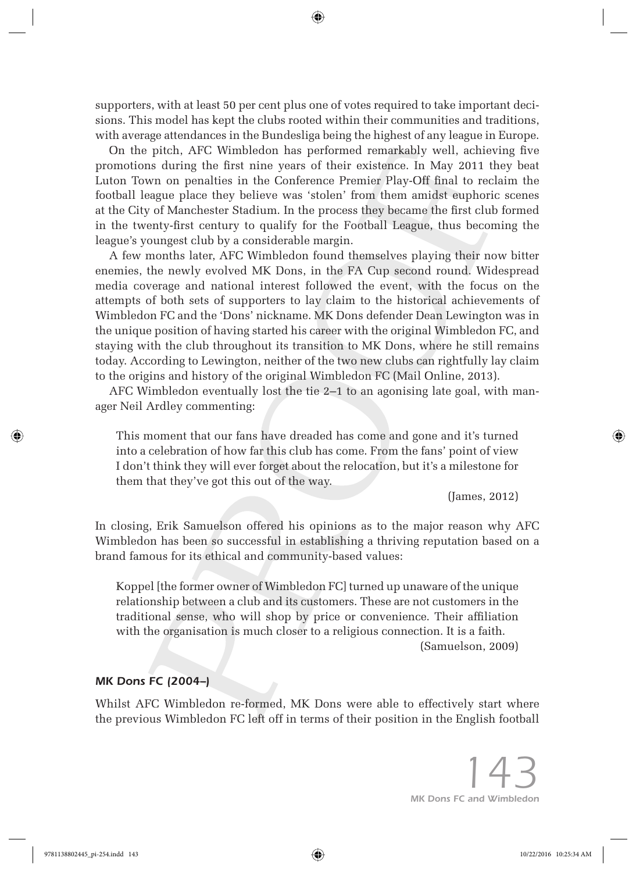supporters, with at least 50 per cent plus one of votes required to take important decisions. This model has kept the clubs rooted within their communities and traditions, with average attendances in the Bundesliga being the highest of any league in Europe.

On the pitch, AFC Wimbledon has performed remarkably well, achieving five promotions during the first nine years of their existence. In May 2011 they beat Luton Town on penalties in the Conference Premier Play-Off final to reclaim the football league place they believe was 'stolen' from them amidst euphoric scenes at the City of Manchester Stadium. In the process they became the first club formed in the twenty-first century to qualify for the Football League, thus becoming the league's youngest club by a considerable margin.

A few months later, AFC Wimbledon found themselves playing their now bitter enemies, the newly evolved MK Dons, in the FA Cup second round. Widespread media coverage and national interest followed the event, with the focus on the attempts of both sets of supporters to lay claim to the historical achievements of Wimbledon FC and the 'Dons' nickname. MK Dons defender Dean Lewington was in the unique position of having started his career with the original Wimbledon FC, and staying with the club throughout its transition to MK Dons, where he still remains today. According to Lewington, neither of the two new clubs can rightfully lay claim to the origins and history of the original Wimbledon FC (Mail Online, 2013).

AFC Wimbledon eventually lost the tie  $2-1$  to an agonising late goal, with manager Neil Ardley commenting:

This moment that our fans have dreaded has come and gone and it's turned into a celebration of how far this club has come. From the fans' point of view I don't think they will ever forget about the relocation, but it's a milestone for them that they've got this out of the way.

(James, 2012 )

In closing, Erik Samuelson offered his opinions as to the major reason why AFC Wimbledon has been so successful in establishing a thriving reputation based on a brand famous for its ethical and community-based values:

Koppel [the former owner of Wimbledon FC] turned up unaware of the unique relationship between a club and its customers. These are not customers in the traditional sense, who will shop by price or convenience. Their affiliation with the organisation is much closer to a religious connection. It is a faith. (Samuelson, 2009 )

# *MK Dons FC (2004– )*

Whilst AFC Wimbledon re-formed, MK Dons were able to effectively start where the previous Wimbledon FC left off in terms of their position in the English football

143 *MK Dons FC and Wimbledon*

9781138802445\_pi-254.indd 143 10/22/2016 10:25:34 AM 0.022/2016 10:25:34 AM 0.022/2016 10:25:34 AM 0.022/2016 10:25:34 AM 0.022/2016 10:25:34 AM 0.022/2016 10:25:34 AM 0.022/2016 10:25:34 AM 0.023:34 AM 0.023:34 AM 0.023:3

◈

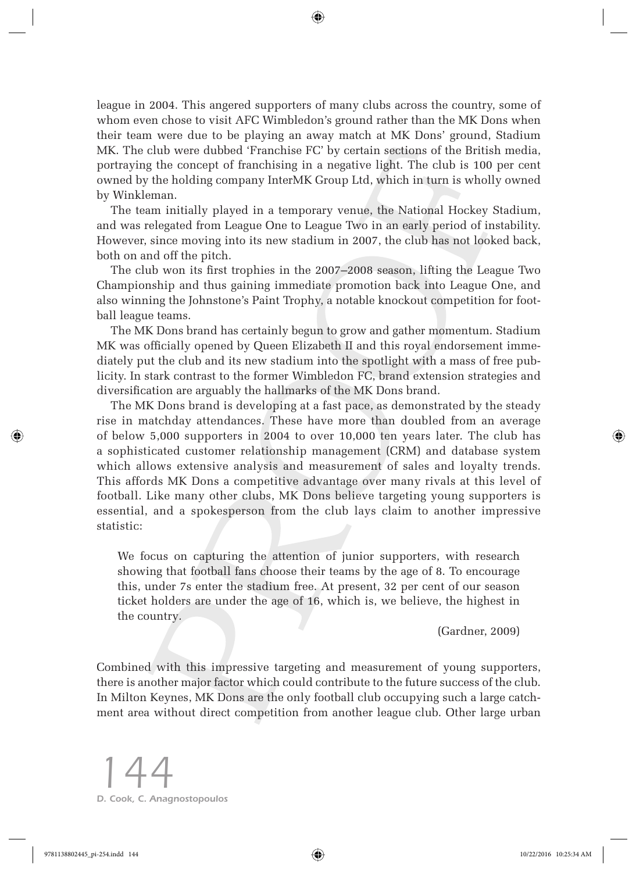league in 2004. This angered supporters of many clubs across the country, some of whom even chose to visit AFC Wimbledon's ground rather than the MK Dons when their team were due to be playing an away match at MK Dons' ground, Stadium MK. The club were dubbed 'Franchise FC' by certain sections of the British media, portraying the concept of franchising in a negative light. The club is 100 per cent owned by the holding company InterMK Group Ltd, which in turn is wholly owned by Winkleman.

The team initially played in a temporary venue, the National Hockey Stadium, and was relegated from League One to League Two in an early period of instability. However, since moving into its new stadium in 2007, the club has not looked back, both on and off the pitch.

The club won its first trophies in the 2007–2008 season, lifting the League Two Championship and thus gaining immediate promotion back into League One, and also winning the Johnstone's Paint Trophy, a notable knockout competition for football league teams.

The MK Dons brand has certainly begun to grow and gather momentum. Stadium MK was officially opened by Queen Elizabeth II and this royal endorsement immediately put the club and its new stadium into the spotlight with a mass of free publicity. In stark contrast to the former Wimbledon FC, brand extension strategies and diversification are arguably the hallmarks of the MK Dons brand.

The MK Dons brand is developing at a fast pace, as demonstrated by the steady rise in matchday attendances. These have more than doubled from an average of below 5,000 supporters in 2004 to over 10,000 ten years later. The club has a sophisticated customer relationship management (CRM) and database system which allows extensive analysis and measurement of sales and loyalty trends. This affords MK Dons a competitive advantage over many rivals at this level of football. Like many other clubs, MK Dons believe targeting young supporters is essential, and a spokesperson from the club lays claim to another impressive statistic:

We focus on capturing the attention of junior supporters, with research showing that football fans choose their teams by the age of 8. To encourage this, under 7s enter the stadium free. At present, 32 per cent of our season ticket holders are under the age of 16, which is, we believe, the highest in the country.

(Gardner, 2009 )

Combined with this impressive targeting and measurement of young supporters, there is another major factor which could contribute to the future success of the club. In Milton Keynes, MK Dons are the only football club occupying such a large catchment area without direct competition from another league club. Other large urban

144 *D. Cook, C. Anagnostopoulos*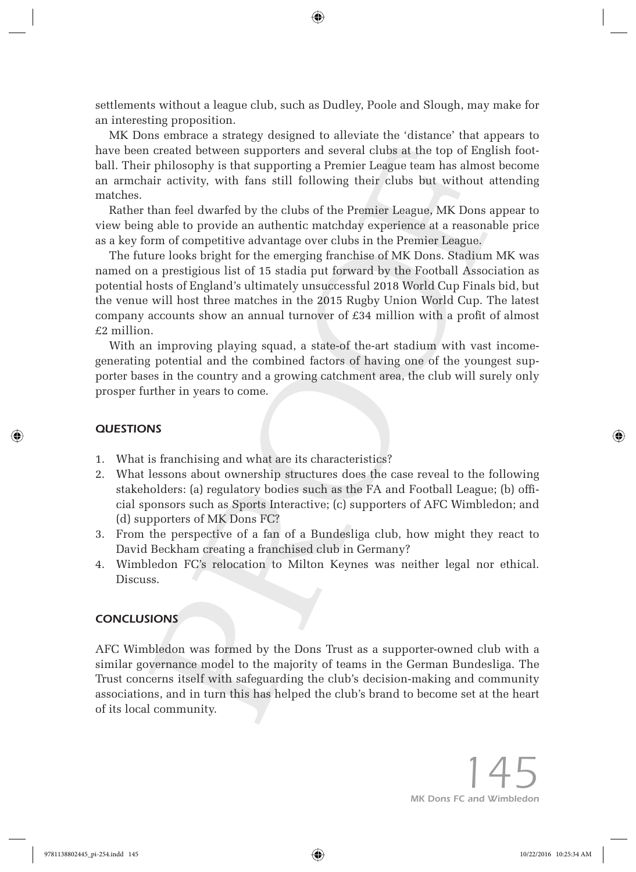settlements without a league club, such as Dudley, Poole and Slough, may make for an interesting proposition.

◈

MK Dons embrace a strategy designed to alleviate the 'distance' that appears to have been created between supporters and several clubs at the top of English football. Their philosophy is that supporting a Premier League team has almost become an armchair activity, with fans still following their clubs but without attending matches.

Rather than feel dwarfed by the clubs of the Premier League, MK Dons appear to view being able to provide an authentic matchday experience at a reasonable price as a key form of competitive advantage over clubs in the Premier League.

The future looks bright for the emerging franchise of MK Dons. Stadium MK was named on a prestigious list of 15 stadia put forward by the Football Association as potential hosts of England's ultimately unsuccessful 2018 World Cup Finals bid, but the venue will host three matches in the 2015 Rugby Union World Cup. The latest company accounts show an annual turnover of  $£34$  million with a profit of almost £2 million.

With an improving playing squad, a state-of the-art stadium with vast incomegenerating potential and the combined factors of having one of the youngest supporter bases in the country and a growing catchment area, the club will surely only prosper further in years to come.

#### *QUESTIONS*

◈

- 1. What is franchising and what are its characteristics?
- 2. What lessons about ownership structures does the case reveal to the following stakeholders: (a) regulatory bodies such as the FA and Football League; (b) offi cial sponsors such as Sports Interactive; (c) supporters of AFC Wimbledon; and (d) supporters of MK Dons FC?
- 3. From the perspective of a fan of a Bundesliga club, how might they react to David Beckham creating a franchised club in Germany?
- 4. Wimbledon FC's relocation to Milton Keynes was neither legal nor ethical. Discuss.

#### *CONCLUSIONS*

AFC Wimbledon was formed by the Dons Trust as a supporter- owned club with a similar governance model to the majority of teams in the German Bundesliga. The Trust concerns itself with safeguarding the club's decision- making and community associations, and in turn this has helped the club's brand to become set at the heart of its local community.

145 *MK Dons FC and Wimbledon*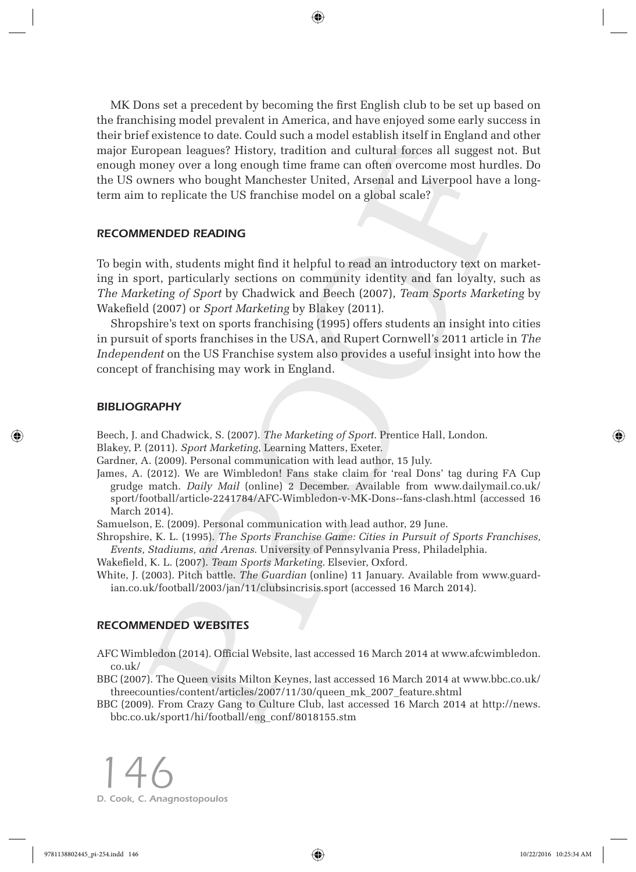↔

MK Dons set a precedent by becoming the first English club to be set up based on the franchising model prevalent in America, and have enjoyed some early success in their brief existence to date. Could such a model establish itself in England and other major European leagues? History, tradition and cultural forces all suggest not. But enough money over a long enough time frame can often overcome most hurdles. Do the US owners who bought Manchester United, Arsenal and Liverpool have a longterm aim to replicate the US franchise model on a global scale?

#### *RECOMMENDED READING*

To begin with, students might find it helpful to read an introductory text on marketing in sport, particularly sections on community identity and fan loyalty, such as *The Marketing of Sport* by Chadwick and Beech (2007), *Team Sports Marketing* by Wakefield (2007) or *Sport Marketing* by Blakey (2011).

Shropshire's text on sports franchising ( 1995 ) offers students an insight into cities in pursuit of sports franchises in the USA, and Rupert Cornwell's 2011 article in *The Independent* on the US Franchise system also provides a useful insight into how the concept of franchising may work in England.

#### *BIBLIOGRAPHY*

Beech , J.and Chadwick , S.( 2007 ). *The Marketing of Sport*. Prentice Hall , London.

Blakey, P. (2011). Sport Marketing, Learning Matters, Exeter.

Gardner, A. (2009). Personal communication with lead author, 15 July.

- James, A. (2012). We are Wimbledon! Fans stake claim for 'real Dons' tag during FA Cup grudge match. *Daily Mail* (online) 2 December. Available from www.dailymail.co.uk/ sport/football/article-2241784/AFC-Wimbledon-v-MK-Dons--fans-clash.html (accessed 16 March 2014).
- Samuelson, E. (2009). Personal communication with lead author, 29 June.

Shropshire, K. L. (1995). *The Sports Franchise Game: Cities in Pursuit of Sports Franchises*, *Events, Stadiums, and Arenas.* University of Pennsylvania Press, Philadelphia.

Wakefield, K. L. (2007). *Team Sports Marketing*. Elsevier, Oxford.

White , J.( 2003 ). Pitch battle. *The Guardian* (online) 11 January. Available from www.guardian.co.uk/football/2003/jan/11/clubsincrisis.sport (accessed 16 March 2014).

## *RECOMMENDED WEBSITES*

AFC Wimbledon (2014). Official Website, last accessed 16 March 2014 at www.afcwimbledon. co.uk/

BBC (2007). The Queen visits Milton Keynes, last accessed 16 March 2014 at www.bbc.co.uk/ threecounties/ content/ articles/ 2007/ 11/ 30/ queen\_ mk\_ 2007\_ feature.shtml

BBC (2009). From Crazy Gang to Culture Club, last accessed 16 March 2014 at http://news. bbc.co.uk/sport1/hi/football/eng\_conf/8018155.stm

146

*D. Cook, C. Anagnostopoulos*